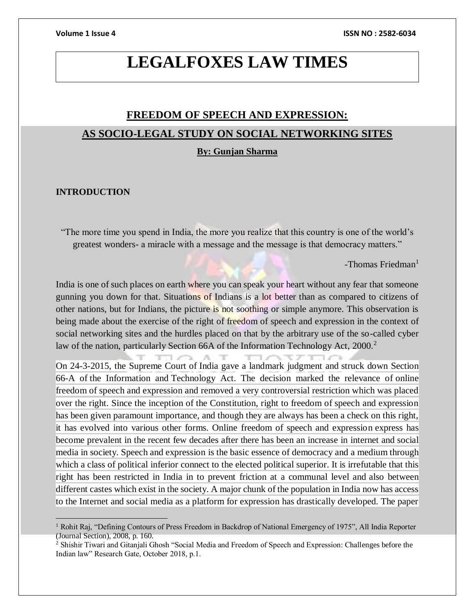# **LEGALFOXES LAW TIMES**

# **FREEDOM OF SPEECH AND EXPRESSION: AS SOCIO-LEGAL STUDY ON SOCIAL NETWORKING SITES**

#### **By: Gunjan Sharma**

#### **INTRODUCTION**

"The more time you spend in India, the more you realize that this country is one of the world's greatest wonders- a miracle with a message and the message is that democracy matters."

 $-$ Thomas Friedman<sup>1</sup>

India is one of such places on earth where you can speak your heart without any fear that someone gunning you down for that. Situations of Indians is a lot better than as compared to citizens of other nations, but for Indians, the picture is not soothing or simple anymore. This observation is being made about the exercise of the right of freedom of speech and expression in the context of social networking sites and the hurdles placed on that by the arbitrary use of the so-called cyber law of the nation, particularly Section 66A of the Information Technology Act, 2000.<sup>2</sup>

On 24-3-2015, the Supreme Court of India gave a landmark judgment and struck down Section 66-A of the Information and Technology Act. The decision marked the relevance of online freedom of speech and expression and removed a very controversial restriction which was placed over the right. Since the inception of the Constitution, right to freedom of speech and expression has been given paramount importance, and though they are always has been a check on this right, it has evolved into various other forms. Online freedom of speech and expression express has become prevalent in the recent few decades after there has been an increase in internet and social media in society. Speech and expression is the basic essence of democracy and a medium through which a class of political inferior connect to the elected political superior. It is irrefutable that this right has been restricted in India in to prevent friction at a communal level and also between different castes which exist in the society. A major chunk of the population in India now has access to the Internet and social media as a platform for expression has drastically developed. The paper

<sup>&</sup>lt;sup>1</sup> Rohit Raj, "Defining Contours of Press Freedom in Backdrop of National Emergency of 1975", All India Reporter (Journal Section), 2008, p. 160.

<sup>&</sup>lt;sup>2</sup> Shishir Tiwari and Gitanjali Ghosh "Social Media and Freedom of Speech and Expression: Challenges before the Indian law" Research Gate, October 2018, p.1.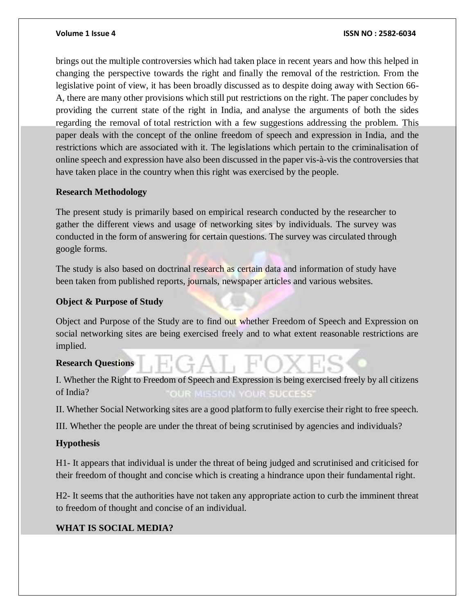brings out the multiple controversies which had taken place in recent years and how this helped in changing the perspective towards the right and finally the removal of the restriction. From the legislative point of view, it has been broadly discussed as to despite doing away with Section 66- A, there are many other provisions which still put restrictions on the right. The paper concludes by providing the current state of the right in India, and analyse the arguments of both the sides regarding the removal of total restriction with a few suggestions addressing the problem. This paper deals with the concept of the online freedom of speech and expression in India, and the restrictions which are associated with it. The legislations which pertain to the criminalisation of online speech and expression have also been discussed in the paper vis-à-vis the controversies that have taken place in the country when this right was exercised by the people.

### **Research Methodology**

The present study is primarily based on empirical research conducted by the researcher to gather the different views and usage of networking sites by individuals. The survey was conducted in the form of answering for certain questions. The survey was circulated through google forms.

The study is also based on doctrinal research as certain data and information of study have been taken from published reports, journals, newspaper articles and various websites.

## **Object & Purpose of Study**

Object and Purpose of the Study are to find out whether Freedom of Speech and Expression on social networking sites are being exercised freely and to what extent reasonable restrictions are implied.

## **Research Questions**

I. Whether the Right to Freedom of Speech and Expression is being exercised freely by all citizens of India? **YOUR SUCCESS** 

II. Whether Social Networking sites are a good platform to fully exercise their right to free speech.

III. Whether the people are under the threat of being scrutinised by agencies and individuals?

## **Hypothesis**

H1- It appears that individual is under the threat of being judged and scrutinised and criticised for their freedom of thought and concise which is creating a hindrance upon their fundamental right.

H2- It seems that the authorities have not taken any appropriate action to curb the imminent threat to freedom of thought and concise of an individual.

## **WHAT IS SOCIAL MEDIA?**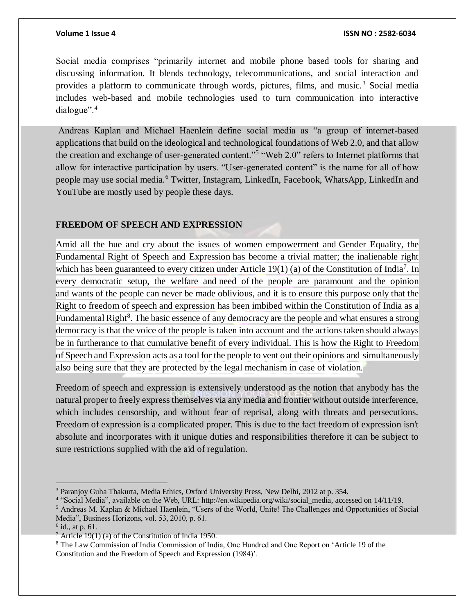Social media comprises "primarily internet and mobile phone based tools for sharing and discussing information. It blends technology, telecommunications, and social interaction and provides a platform to communicate through words, pictures, films, and music.<sup>3</sup> Social media includes web-based and mobile technologies used to turn communication into interactive dialogue".<sup>4</sup>

Andreas Kaplan and Michael Haenlein define social media as "a group of internet-based applications that build on the ideological and technological foundations of Web 2.0, and that allow the creation and exchange of user-generated content."<sup>5</sup> "Web 2.0" refers to Internet platforms that allow for interactive participation by users. "User-generated content" is the name for all of how people may use social media.<sup>6</sup> Twitter, Instagram, LinkedIn, Facebook, WhatsApp, LinkedIn and YouTube are mostly used by people these days.

### **FREEDOM OF SPEECH AND EXPRESSION**

Amid all the hue and cry about the issues of women empowerment and Gender Equality, the Fundamental Right of Speech and Expression has become a trivial matter; the inalienable right which has been guaranteed to every citizen under Article  $19(1)$  (a) of the Constitution of India<sup>7</sup>. In every democratic setup, the welfare and need of the people are paramount and the opinion and wants of the people can never be made oblivious, and it is to ensure this purpose only that the Right to freedom of speech and expression has been imbibed within the Constitution of India as a Fundamental Right<sup>8</sup>. The basic essence of any democracy are the people and what ensures a strong democracy is that the voice of the people is taken into account and the actions taken should always be in furtherance to that cumulative benefit of every individual. This is how the Right to Freedom of Speech and Expression acts as a tool for the people to vent out their opinions and simultaneously also being sure that they are protected by the legal mechanism in case of violation.

Freedom of speech and expression is extensively understood as the notion that anybody has the natural proper to freely express themselves via any media and frontier without outside interference, which includes censorship, and without fear of reprisal, along with threats and persecutions. Freedom of expression is a complicated proper. This is due to the fact freedom of expression isn't absolute and incorporates with it unique duties and responsibilities therefore it can be subject to sure restrictions supplied with the aid of regulation.

<sup>3</sup> Paranjoy Guha Thakurta, Media Ethics, Oxford University Press, New Delhi, 2012 at p. 354.

<sup>&</sup>lt;sup>4</sup> "Social Media", available on the Web, URL: [http://en.wikipedia.org/wiki/social\\_media,](http://en.wikipedia.org/wiki/social_media) accessed on 14/11/19.

<sup>5</sup> Andreas M. Kaplan & Michael Haenlein, "Users of the World, Unite! The Challenges and Opportunities of Social Media", Business Horizons, vol. 53, 2010, p. 61.

 $6$  id., at p. 61.

 $7$  Article 19(1) (a) of the Constitution of India 1950.

<sup>8</sup> The Law Commission of India Commission of India, One Hundred and One Report on 'Article 19 of the Constitution and the Freedom of Speech and Expression (1984)'.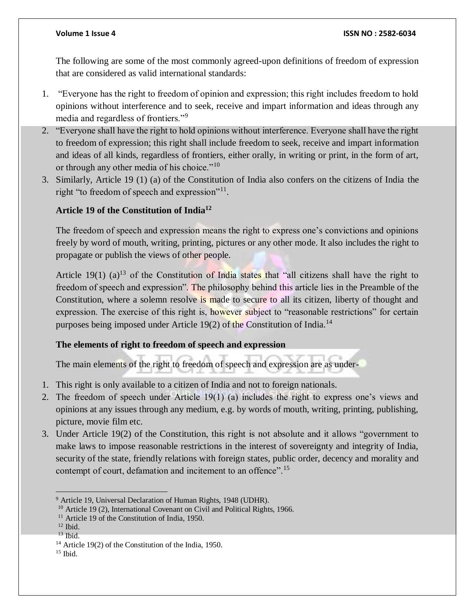The following are some of the most commonly agreed-upon definitions of freedom of expression that are considered as valid international standards:

- 1. "Everyone has the right to freedom of opinion and expression; this right includes freedom to hold opinions without interference and to seek, receive and impart information and ideas through any media and regardless of frontiers."<sup>9</sup>
- 2. "Everyone shall have the right to hold opinions without interference. Everyone shall have the right to freedom of expression; this right shall include freedom to seek, receive and impart information and ideas of all kinds, regardless of frontiers, either orally, in writing or print, in the form of art, or through any other media of his choice."<sup>10</sup>
- 3. Similarly, Article 19 (1) (a) of the Constitution of India also confers on the citizens of India the right "to freedom of speech and expression"<sup>11</sup>.

### **Article 19 of the Constitution of India<sup>12</sup>**

The freedom of speech and expression means the right to express one's convictions and opinions freely by word of mouth, writing, printing, pictures or any other mode. It also includes the right to propagate or publish the views of other people.

Article 19(1) (a)<sup>13</sup> of the Constitution of India states that "all citizens shall have the right to freedom of speech and expression". The philosophy behind this article lies in the Preamble of the Constitution, where a solemn resolve is made to secure to all its citizen, liberty of thought and expression. The exercise of this right is, however subject to "reasonable restrictions" for certain purposes being imposed under Article 19(2) of the Constitution of India.<sup>14</sup>

### **The elements of right to freedom of speech and expression**

The main elements of the right to freedom of speech and expression are as under-

- 1. This right is only available to a citizen of India and not to foreign nationals.
- 2. The freedom of speech under Article 19(1) (a) includes the right to express one's views and opinions at any issues through any medium, e.g. by words of mouth, writing, printing, publishing, picture, movie film etc.
- 3. Under Article 19(2) of the Constitution, this right is not absolute and it allows "government to make laws to impose reasonable restrictions in the interest of sovereignty and integrity of India, security of the state, friendly relations with foreign states, public order, decency and morality and contempt of court, defamation and incitement to an offence".<sup>15</sup>

 $\overline{a}$ <sup>9</sup> Article 19, Universal Declaration of Human Rights, 1948 (UDHR).

<sup>&</sup>lt;sup>10</sup> Article 19 (2), International Covenant on Civil and Political Rights, 1966.

<sup>&</sup>lt;sup>11</sup> Article 19 of the Constitution of India, 1950.

 $12$  Ibid.

<sup>13</sup> Ibid.

<sup>14</sup> Article 19(2) of the Constitution of the India, 1950.

 $15$  Ibid.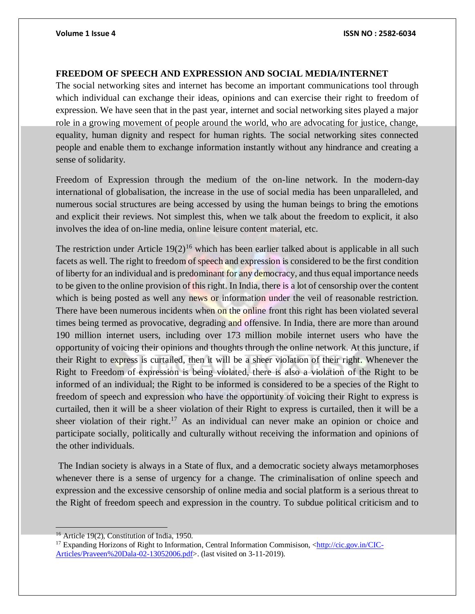### **FREEDOM OF SPEECH AND EXPRESSION AND SOCIAL MEDIA/INTERNET**

The social networking sites and internet has become an important communications tool through which individual can exchange their ideas, opinions and can exercise their right to freedom of expression. We have seen that in the past year, internet and social networking sites played a major role in a growing movement of people around the world, who are advocating for justice, change, equality, human dignity and respect for human rights. The social networking sites connected people and enable them to exchange information instantly without any hindrance and creating a sense of solidarity.

Freedom of Expression through the medium of the on-line network. In the modern-day international of globalisation, the increase in the use of social media has been unparalleled, and numerous social structures are being accessed by using the human beings to bring the emotions and explicit their reviews. Not simplest this, when we talk about the freedom to explicit, it also involves the idea of on-line media, online leisure content material, etc.

The restriction under Article  $19(2)^{16}$  which has been earlier talked about is applicable in all such facets as well. The right to freedom of speech and expression is considered to be the first condition of liberty for an individual and is predominant for any democracy, and thus equal importance needs to be given to the online provision of this right. In India, there is a lot of censorship over the content which is being posted as well any news or information under the veil of reasonable restriction. There have been numerous incidents when on the online front this right has been violated several times being termed as provocative, degrading and offensive. In India, there are more than around 190 million internet users, including over 173 million mobile internet users who have the opportunity of voicing their opinions and thoughts through the online network. At this juncture, if their Right to express is curtailed, then it will be a sheer violation of their right. Whenever the Right to Freedom of expression is being violated, there is also a violation of the Right to be informed of an individual; the Right to be informed is considered to be a species of the Right to freedom of speech and expression who have the opportunity of voicing their Right to express is curtailed, then it will be a sheer violation of their Right to express is curtailed, then it will be a sheer violation of their right.<sup>17</sup> As an individual can never make an opinion or choice and participate socially, politically and culturally without receiving the information and opinions of the other individuals.

The Indian society is always in a State of flux, and a democratic society always metamorphoses whenever there is a sense of urgency for a change. The criminalisation of online speech and expression and the excessive censorship of online media and social platform is a serious threat to the Right of freedom speech and expression in the country. To subdue political criticism and to

<sup>&</sup>lt;sup>16</sup> Article 19(2), Constitution of India, 1950.

<sup>&</sup>lt;sup>17</sup> Expanding Horizons of Right to Information, Central Information Commisison, [<http://cic.gov.in/CIC-](http://cic.gov.in/CIC-Articles/Praveen%20Dala-02-13052006.pdf)[Articles/Praveen%20Dala-02-13052006.pdf>](http://cic.gov.in/CIC-Articles/Praveen%20Dala-02-13052006.pdf). (last visited on 3-11-2019).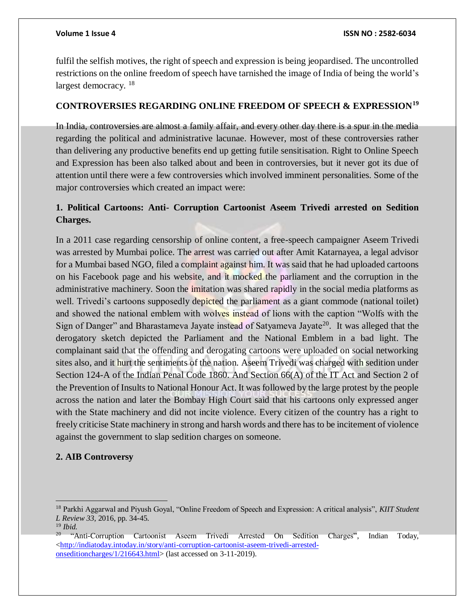fulfil the selfish motives, the right of speech and expression is being jeopardised. The uncontrolled restrictions on the online freedom of speech have tarnished the image of India of being the world's largest democracy. <sup>18</sup>

### **CONTROVERSIES REGARDING ONLINE FREEDOM OF SPEECH & EXPRESSION<sup>19</sup>**

In India, controversies are almost a family affair, and every other day there is a spur in the media regarding the political and administrative lacunae. However, most of these controversies rather than delivering any productive benefits end up getting futile sensitisation. Right to Online Speech and Expression has been also talked about and been in controversies, but it never got its due of attention until there were a few controversies which involved imminent personalities. Some of the major controversies which created an impact were:

# **1. Political Cartoons: Anti- Corruption Cartoonist Aseem Trivedi arrested on Sedition Charges.**

In a 2011 case regarding censorship of online content, a free-speech campaigner Aseem Trivedi was arrested by Mumbai police. The arrest was carried out after Amit Katarnayea, a legal advisor for a Mumbai based NGO, filed a complaint against him. It was said that he had uploaded cartoons on his Facebook page and his website, and it mocked the parliament and the corruption in the administrative machinery. Soon the imitation was shared rapidly in the social media platforms as well. Trivedi's cartoons supposedly depicted the parliament as a giant commode (national toilet) and showed the national emblem with wolves instead of lions with the caption "Wolfs with the Sign of Danger" and Bharastameva Jayate instead of Satyameva Jayate<sup>20</sup>. It was alleged that the derogatory sketch depicted the Parliament and the National Emblem in a bad light. The complainant said that the offending and derogating cartoons were uploaded on social networking sites also, and it hurt the sentiments of the nation. Aseem Trivedi was charged with sedition under Section 124-A of the Indian Penal Code 1860. And Section 66(A) of the IT Act and Section 2 of the Prevention of Insults to National Honour Act. It was followed by the large protest by the people across the nation and later the Bombay High Court said that his cartoons only expressed anger with the State machinery and did not incite violence. Every citizen of the country has a right to freely criticise State machinery in strong and harsh words and there has to be incitement of violence against the government to slap sedition charges on someone.

## **2. AIB Controversy**

 $\overline{a}$ 

<sup>18</sup> Parkhi Aggarwal and Piyush Goyal, "Online Freedom of Speech and Expression: A critical analysis", *KIIT Student L Review 33,* 2016, pp. 34-45.

<sup>19</sup> *Ibid.*

<sup>20</sup> "Anti-Corruption Cartoonist Aseem Trivedi Arrested On Sedition Charges", Indian Today, [<http://indiatoday.intoday.in/story/anti-corruption-cartoonist-aseem-trivedi-arrested](http://indiatoday.intoday.in/story/anti-corruption-cartoonist-aseem-trivedi-arrested-onseditioncharges/1/216643.html)[onseditioncharges/1/216643.html>](http://indiatoday.intoday.in/story/anti-corruption-cartoonist-aseem-trivedi-arrested-onseditioncharges/1/216643.html) (last accessed on 3-11-2019).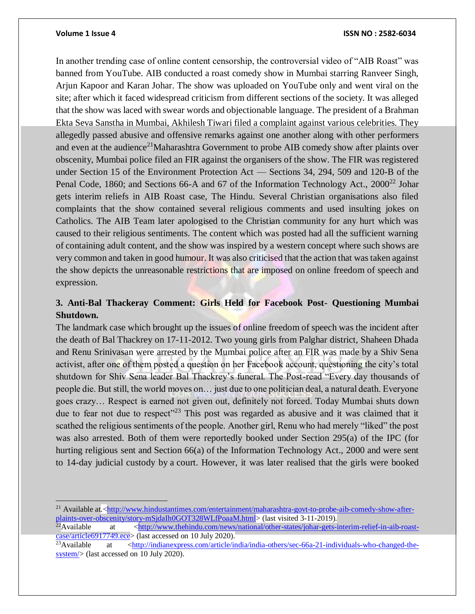$\overline{a}$ 

#### **Volume 1 Issue 4 ISSN NO : 2582-6034**

In another trending case of online content censorship, the controversial video of "AIB Roast" was banned from YouTube. AIB conducted a roast comedy show in Mumbai starring Ranveer Singh, Arjun Kapoor and Karan Johar. The show was uploaded on YouTube only and went viral on the site; after which it faced widespread criticism from different sections of the society. It was alleged that the show was laced with swear words and objectionable language. The president of a Brahman Ekta Seva Sanstha in Mumbai, Akhilesh Tiwari filed a complaint against various celebrities. They allegedly passed abusive and offensive remarks against one another along with other performers and even at the audience<sup>21</sup>Maharashtra Government to probe AIB comedy show after plaints over obscenity, Mumbai police filed an FIR against the organisers of the show. The FIR was registered under Section 15 of the Environment Protection Act — Sections 34, 294, 509 and 120-B of the Penal Code, 1860; and Sections 66-A and 67 of the Information Technology Act., 2000<sup>22</sup> Johar gets interim reliefs in AIB Roast case, The Hindu. Several Christian organisations also filed complaints that the show contained several religious comments and used insulting jokes on Catholics. The AIB Team later apologised to the Christian community for any hurt which was caused to their religious sentiments. The content which was posted had all the sufficient warning of containing adult content, and the show was inspired by a western concept where such shows are very common and taken in good humour. It was also criticised that the action that was taken against the show depicts the unreasonable restrictions that are imposed on online freedom of speech and expression.

# **3. Anti-Bal Thackeray Comment: Girls Held for Facebook Post- Questioning Mumbai Shutdown.**

The landmark case which brought up the issues of online freedom of speech was the incident after the death of Bal Thackrey on 17-11-2012. Two young girls from Palghar district, Shaheen Dhada and Renu Srinivasan were arrested by the Mumbai police after an FIR was made by a Shiv Sena activist, after one of them posted a question on her Facebook account, questioning the city's total shutdown for Shiv Sena leader Bal Thackrey's funeral. The Post-read "Every day thousands of people die. But still, the world moves on… just due to one politician deal, a natural death. Everyone goes crazy… Respect is earned not given out, definitely not forced. Today Mumbai shuts down due to fear not due to respect<sup>"23</sup> This post was regarded as abusive and it was claimed that it scathed the religious sentiments of the people. Another girl, Renu who had merely "liked" the post was also arrested. Both of them were reportedly booked under Section 295(a) of the IPC (for hurting religious sent and Section 66(a) of the Information Technology Act., 2000 and were sent to 14-day judicial custody by a court. However, it was later realised that the girls were booked

<sup>&</sup>lt;sup>21</sup> Available at.[<http://www.hindustantimes.com/entertainment/maharashtra-govt-to-probe-aib-comedy-show-after](http://www.hindustantimes.com/entertainment/maharashtra-govt-to-probe-aib-comedy-show-after-plaints-over-obscenity/story-mSjdaIh0GOT328WLfPoaaM.html)[plaints-over-obscenity/story-mSjdaIh0GOT328WLfPoaaM.html>](http://www.hindustantimes.com/entertainment/maharashtra-govt-to-probe-aib-comedy-show-after-plaints-over-obscenity/story-mSjdaIh0GOT328WLfPoaaM.html) (last visited 3-11-2019).

<sup>&</sup>lt;sup>22</sup>Available at  $\langle$ http://www.thehindu.com/news/national/other-states/johar-gets-interim-relief-in-aib-roast[case/article6917749.ece>](http://www.thehindu.com/news/national/other-states/johar-gets-interim-relief-in-aib-roast-case/article6917749.ece) (last accessed on 10 July 2020).<br><sup>23</sup>Available at <http://indianexpress.com/article/in

<sup>23</sup>Available at [<http://indianexpress.com/article/india/india-others/sec-66a-21-individuals-who-changed-the](http://indianexpress.com/article/india/india-others/sec-66a-21-individuals-who-changed-the-system/)[system/>](http://indianexpress.com/article/india/india-others/sec-66a-21-individuals-who-changed-the-system/) (last accessed on 10 July 2020).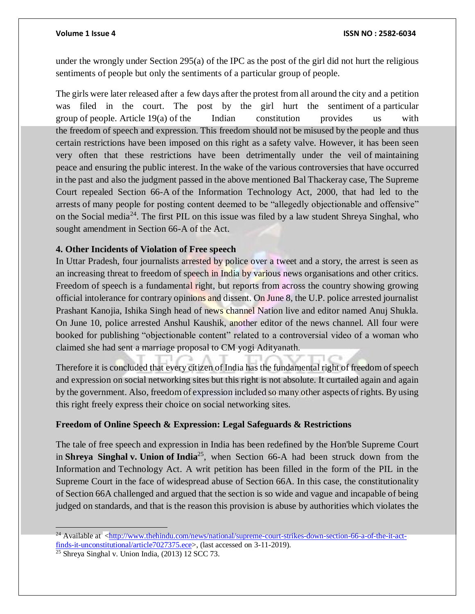under the wrongly under Section 295(a) of the IPC as the post of the girl did not hurt the religious sentiments of people but only the sentiments of a particular group of people.

The girls were later released after a few days after the protest from all around the city and a petition was filed in the court. The post by the girl hurt the sentiment of a particular group of people. Article 19(a) of the Indian constitution provides us with the freedom of speech and expression. This freedom should not be misused by the people and thus certain restrictions have been imposed on this right as a safety valve. However, it has been seen very often that these restrictions have been detrimentally under the veil of maintaining peace and ensuring the public interest. In the wake of the various controversies that have occurred in the past and also the judgment passed in the above mentioned Bal Thackeray case, The Supreme Court repealed Section 66-A of the Information Technology Act, 2000, that had led to the arrests of many people for posting content deemed to be "allegedly objectionable and offensive" on the Social media<sup>24</sup>. The first PIL on this issue was filed by a law student Shreya Singhal, who sought amendment in Section 66-A of the Act.

### **4. Other Incidents of Violation of Free speech**

In Uttar Pradesh, four journalists arrested by police over a tweet and a story, the arrest is seen as an increasing threat to freedom of speech in India by various news organisations and other critics. Freedom of speech is a fundamental right, but reports from across the country showing growing official intolerance for contrary opinions and dissent. On June 8, the U.P. police arrested journalist Prashant Kanojia, Ishika Singh head of news channel Nation live and editor named Anuj Shukla. On June 10, police arrested Anshul Kaushik, another editor of the news channel. All four were booked for publishing "objectionable content" related to a controversial video of a woman who claimed she had sent a marriage proposal to CM yogi Adityanath.

Therefore it is concluded that every citizen of India has the fundamental right of freedom of speech and expression on social networking sites but this right is not absolute. It curtailed again and again by the government. Also, freedom of expression included so many other aspects of rights. By using this right freely express their choice on social networking sites.

### **Freedom of Online Speech & Expression: Legal Safeguards & Restrictions**

The tale of free speech and expression in India has been redefined by the Hon'ble Supreme Court in **Shreya Singhal v. Union of India**<sup>25</sup>, when Section 66-A had been struck down from the Information and Technology Act. A writ petition has been filled in the form of the PIL in the Supreme Court in the face of widespread abuse of Section 66A. In this case, the constitutionality of Section 66A challenged and argued that the section is so wide and vague and incapable of being judged on standards, and that is the reason this provision is abuse by authorities which violates the

<sup>&</sup>lt;sup>24</sup> Available at [<http://www.thehindu.com/news/national/supreme-court-strikes-down-section-66-a-of-the-it-act](http://www.thehindu.com/news/national/supreme-court-strikes-down-section-66-a-of-the-it-act-finds-it-unconstitutional/article7027375.ece)[finds-it-unconstitutional/article7027375.ece>](http://www.thehindu.com/news/national/supreme-court-strikes-down-section-66-a-of-the-it-act-finds-it-unconstitutional/article7027375.ece), (last accessed on 3-11-2019).

<sup>&</sup>lt;sup>25</sup> Shreya Singhal v. Union India, (2013) 12 SCC 73.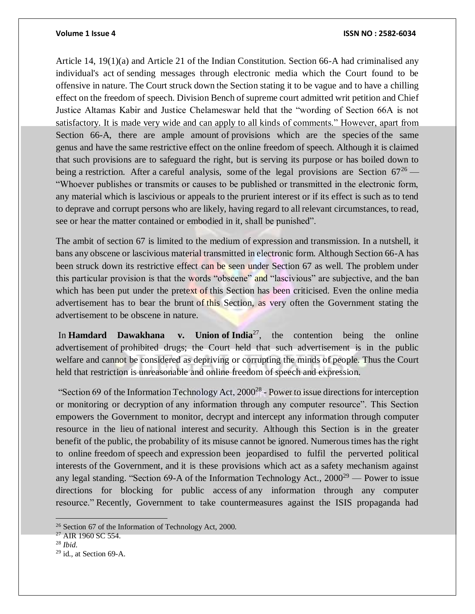#### **Volume 1 Issue 4 ISSN NO : 2582-6034**

Article 14, 19(1)(a) and Article 21 of the Indian Constitution. Section 66-A had criminalised any individual's act of sending messages through electronic media which the Court found to be offensive in nature. The Court struck down the Section stating it to be vague and to have a chilling effect on the freedom of speech. Division Bench of supreme court admitted writ petition and Chief Justice Altamas Kabir and Justice Chelameswar held that the "wording of Section 66A is not satisfactory. It is made very wide and can apply to all kinds of comments." However, apart from Section 66-A, there are ample amount of provisions which are the species of the same genus and have the same restrictive effect on the online freedom of speech. Although it is claimed that such provisions are to safeguard the right, but is serving its purpose or has boiled down to being a restriction. After a careful analysis, some of the legal provisions are Section  $67^{26}$  — "Whoever publishes or transmits or causes to be published or transmitted in the electronic form, any material which is lascivious or appeals to the prurient interest or if its effect is such as to tend to deprave and corrupt persons who are likely, having regard to all relevant circumstances, to read, see or hear the matter contained or embodied in it, shall be punished".

The ambit of section 67 is limited to the medium of expression and transmission. In a nutshell, it bans any obscene or lascivious material transmitted in electronic form. Although Section 66-A has been struck down its restrictive effect can be seen under Section 67 as well. The problem under this particular provision is that the words "obscene" and "lascivious" are subjective, and the ban which has been put under the pretext of this Section has been criticised. Even the online media advertisement has to bear the brunt of this Section, as very often the Government stating the advertisement to be obscene in nature.

In **Hamdard Dawakhana v. Union of India**<sup>27</sup>, the contention being the online advertisement of prohibited drugs; the Court held that such advertisement is in the public welfare and cannot be considered as depriving or corrupting the minds of people. Thus the Court held that restriction is unreasonable and online freedom of speech and expression.

"Section 69 of the Information Technology Act,  $2000^{28}$  - Power to issue directions for interception or monitoring or decryption of any information through any computer resource". This Section empowers the Government to monitor, decrypt and intercept any information through computer resource in the lieu of national interest and security. Although this Section is in the greater benefit of the public, the probability of its misuse cannot be ignored. Numerous times has the right to online freedom of speech and expression been jeopardised to fulfil the perverted political interests of the Government, and it is these provisions which act as a safety mechanism against any legal standing. "Section 69-A of the Information Technology Act.,  $2000^{29}$  — Power to issue directions for blocking for public access of any information through any computer resource." Recently, Government to take countermeasures against the ISIS propaganda had

 $\overline{a}$ 

<sup>26</sup> Section 67 of the Information of Technology Act, 2000.

<sup>&</sup>lt;sup>27</sup> AIR 1960 SC 554.

<sup>28</sup> *Ibid*.

<sup>29</sup> id., at Section 69-A.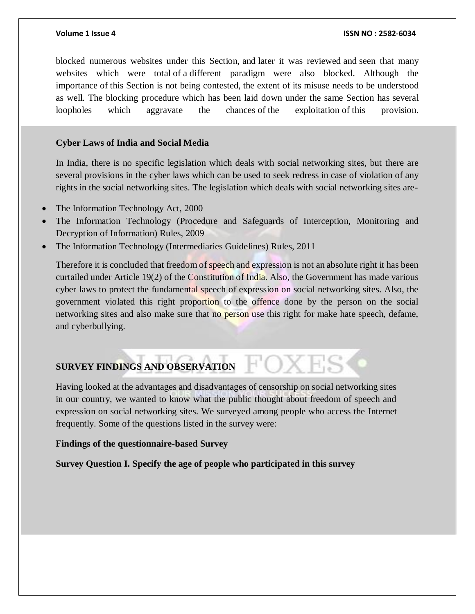blocked numerous websites under this Section, and later it was reviewed and seen that many websites which were total of a different paradigm were also blocked. Although the importance of this Section is not being contested, the extent of its misuse needs to be understood as well. The blocking procedure which has been laid down under the same Section has several loopholes which aggravate the chances of the exploitation of this provision.

### **Cyber Laws of India and Social Media**

In India, there is no specific legislation which deals with social networking sites, but there are several provisions in the cyber laws which can be used to seek redress in case of violation of any rights in the social networking sites. The legislation which deals with social networking sites are-

- The Information Technology Act, 2000
- The Information Technology (Procedure and Safeguards of Interception, Monitoring and Decryption of Information) Rules, 2009
- The Information Technology (Intermediaries Guidelines) Rules, 2011

Therefore it is concluded that freedom of speech and expression is not an absolute right it has been curtailed under Article 19(2) of the Constitution of India. Also, the Government has made various cyber laws to protect the fundamental speech of expression on social networking sites. Also, the government violated this right proportion to the offence done by the person on the social networking sites and also make sure that no person use this right for make hate speech, defame, and cyberbullying.

# **SURVEY FINDINGS AND OBSERVATION**

Having looked at the advantages and disadvantages of censorship on social networking sites in our country, we wanted to know what the public thought about freedom of speech and expression on social networking sites. We surveyed among people who access the Internet frequently. Some of the questions listed in the survey were:

### **Findings of the questionnaire-based Survey**

**Survey Question I. Specify the age of people who participated in this survey**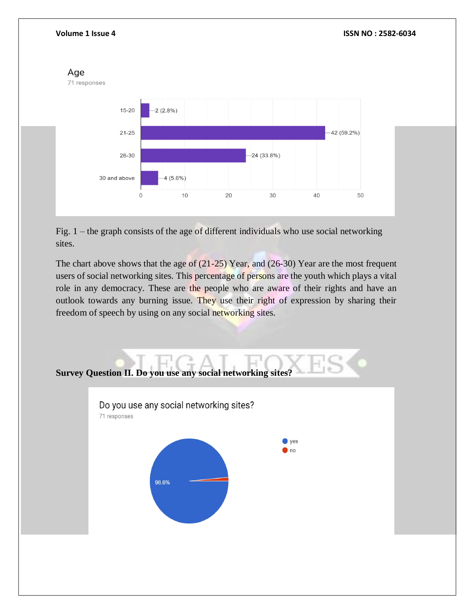

Fig. 1 – the graph consists of the age of different individuals who use social networking sites.

The chart above shows that the age of  $(21-25)$  Year, and  $(26-30)$  Year are the most frequent users of social networking sites. This percentage of persons are the youth which plays a vital role in any democracy. These are the people who are aware of their rights and have an outlook towards any burning issue. They use their right of expression by sharing their freedom of speech by using on any social networking sites.

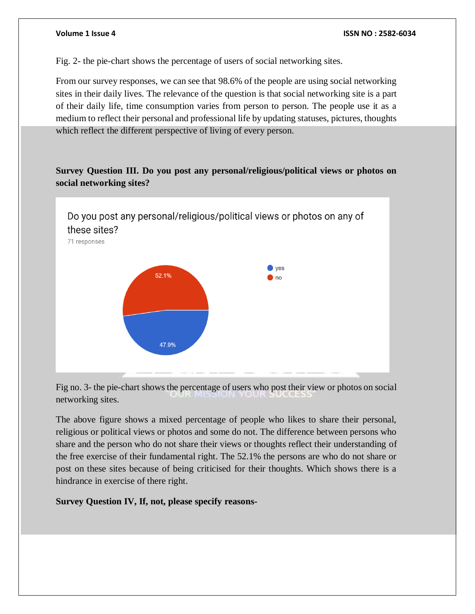Fig. 2- the pie-chart shows the percentage of users of social networking sites.

From our survey responses, we can see that 98.6% of the people are using social networking sites in their daily lives. The relevance of the question is that social networking site is a part of their daily life, time consumption varies from person to person. The people use it as a medium to reflect their personal and professional life by updating statuses, pictures, thoughts which reflect the different perspective of living of every person.

# **Survey Question III. Do you post any personal/religious/political views or photos on social networking sites?**



Fig no. 3- the pie-chart shows the percentage of users who post their view or photos on social networking sites.

The above figure shows a mixed percentage of people who likes to share their personal, religious or political views or photos and some do not. The difference between persons who share and the person who do not share their views or thoughts reflect their understanding of the free exercise of their fundamental right. The 52.1% the persons are who do not share or post on these sites because of being criticised for their thoughts. Which shows there is a hindrance in exercise of there right.

**Survey Question IV, If, not, please specify reasons-**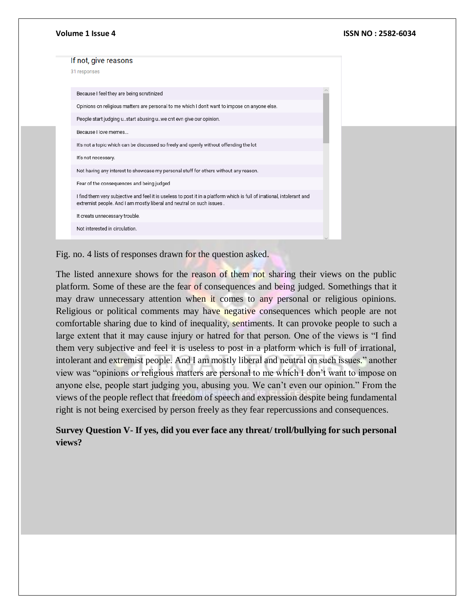| Volume 1 Issue 4                                                                                                                                                                                 | ISSN NO: 2582-6034 |
|--------------------------------------------------------------------------------------------------------------------------------------------------------------------------------------------------|--------------------|
| If not, give reasons                                                                                                                                                                             |                    |
| 31 responses                                                                                                                                                                                     |                    |
| Because I feel they are being scrutinized                                                                                                                                                        |                    |
| Opinions on religious matters are personal to me which I don't want to impose on anyone else.                                                                                                    |                    |
| People start judging ustart abusing uwe cnt evn give our opinion.                                                                                                                                |                    |
| Because I love memes                                                                                                                                                                             |                    |
| It's not a topic which can be discussed so freely and openly without offending the lot                                                                                                           |                    |
| It's not necessary.                                                                                                                                                                              |                    |
| Not having any interest to showcase my personal stuff for others without any reason.                                                                                                             |                    |
| Fear of the consequences and being judged                                                                                                                                                        |                    |
| I find them very subjective and feel it is useless to post it in a platform which is full of irrational, intolerant and<br>extremist people. And I am mostly liberal and neutral on such issues. |                    |
| It creats unnecessary trouble.                                                                                                                                                                   |                    |
| Not interested in circulation.                                                                                                                                                                   |                    |
|                                                                                                                                                                                                  |                    |

Fig. no. 4 lists of responses drawn for the question asked.

The listed annexure shows for the reason of them not sharing their views on the public platform. Some of these are the fear of consequences and being judged. Somethings that it may draw unnecessary attention when it comes to any personal or religious opinions. Religious or political comments may have negative consequences which people are not comfortable sharing due to kind of inequality, sentiments. It can provoke people to such a large extent that it may cause injury or hatred for that person. One of the views is "I find them very subjective and feel it is useless to post in a platform which is full of irrational, intolerant and extremist people. And I am mostly liberal and neutral on such issues." another view was "opinions or religious matters are personal to me which I don't want to impose on anyone else, people start judging you, abusing you. We can't even our opinion." From the views of the people reflect that freedom of speech and expression despite being fundamental right is not being exercised by person freely as they fear repercussions and consequences.

# **Survey Question V- If yes, did you ever face any threat/ troll/bullying for such personal views?**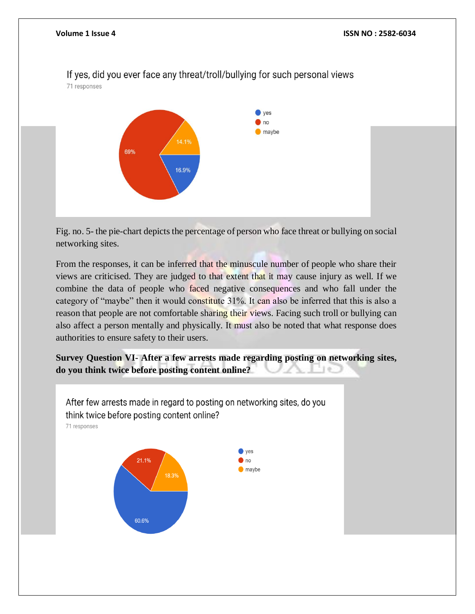71 responses  $\vee$  ves  $n<sub>o</sub>$ maybe 14.1% 69% 16.9%

Fig. no. 5- the pie-chart depicts the percentage of person who face threat or bullying on social networking sites.

From the responses, it can be inferred that the minuscule number of people who share their views are criticised. They are judged to that extent that it may cause injury as well. If we combine the data of people who faced negative consequences and who fall under the category of "maybe" then it would constitute 31%. It can also be inferred that this is also a reason that people are not comfortable sharing their views. Facing such troll or bullying can also affect a person mentally and physically. It must also be noted that what response does authorities to ensure safety to their users.

**Survey Question VI- After a few arrests made regarding posting on networking sites, do you think twice before posting content online?**



# If yes, did you ever face any threat/troll/bullying for such personal views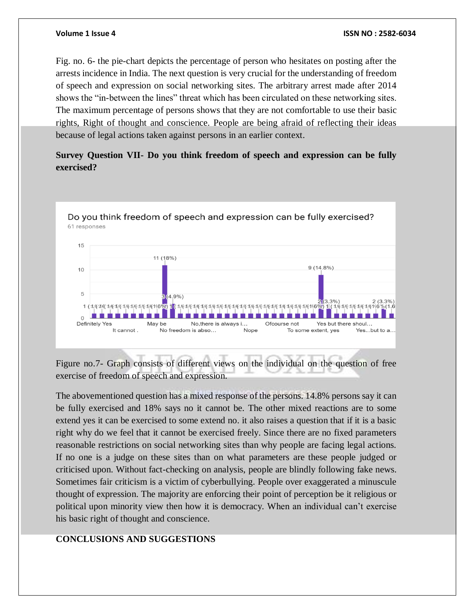Fig. no. 6- the pie-chart depicts the percentage of person who hesitates on posting after the arrests incidence in India. The next question is very crucial for the understanding of freedom of speech and expression on social networking sites. The arbitrary arrest made after 2014 shows the "in-between the lines" threat which has been circulated on these networking sites. The maximum percentage of persons shows that they are not comfortable to use their basic rights, Right of thought and conscience. People are being afraid of reflecting their ideas because of legal actions taken against persons in an earlier context.

# **Survey Question VII- Do you think freedom of speech and expression can be fully exercised?**



Figure no.7- Graph consists of different views on the individual on the question of free exercise of freedom of speech and expression.

The abovementioned question has a mixed response of the persons. 14.8% persons say it can be fully exercised and 18% says no it cannot be. The other mixed reactions are to some extend yes it can be exercised to some extend no. it also raises a question that if it is a basic right why do we feel that it cannot be exercised freely. Since there are no fixed parameters reasonable restrictions on social networking sites than why people are facing legal actions. If no one is a judge on these sites than on what parameters are these people judged or criticised upon. Without fact-checking on analysis, people are blindly following fake news. Sometimes fair criticism is a victim of cyberbullying. People over exaggerated a minuscule thought of expression. The majority are enforcing their point of perception be it religious or political upon minority view then how it is democracy. When an individual can't exercise his basic right of thought and conscience.

### **CONCLUSIONS AND SUGGESTIONS**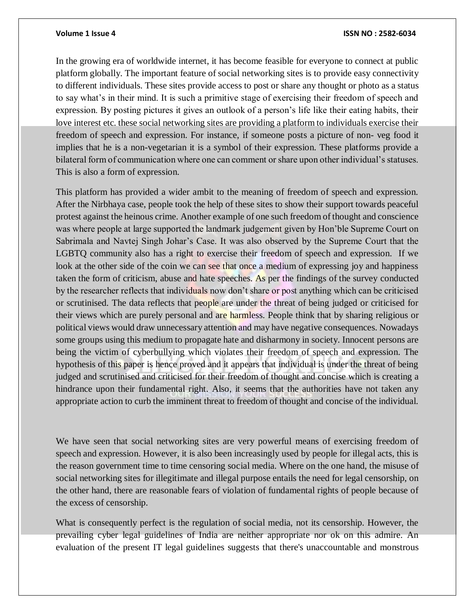#### **Volume 1 Issue 4 ISSN NO : 2582-6034**

In the growing era of worldwide internet, it has become feasible for everyone to connect at public platform globally. The important feature of social networking sites is to provide easy connectivity to different individuals. These sites provide access to post or share any thought or photo as a status to say what's in their mind. It is such a primitive stage of exercising their freedom of speech and expression. By posting pictures it gives an outlook of a person's life like their eating habits, their love interest etc. these social networking sites are providing a platform to individuals exercise their freedom of speech and expression. For instance, if someone posts a picture of non- veg food it implies that he is a non-vegetarian it is a symbol of their expression. These platforms provide a bilateral form of communication where one can comment or share upon other individual's statuses. This is also a form of expression.

This platform has provided a wider ambit to the meaning of freedom of speech and expression. After the Nirbhaya case, people took the help of these sites to show their support towards peaceful protest against the heinous crime. Another example of one such freedom of thought and conscience was where people at large supported the landmark judgement given by Hon'ble Supreme Court on Sabrimala and Navtej Singh Johar's Case. It was also observed by the Supreme Court that the LGBTQ community also has a right to exercise their freedom of speech and expression. If we look at the other side of the coin we can see that once a medium of expressing joy and happiness taken the form of criticism, abuse and hate speeches. As per the findings of the survey conducted by the researcher reflects that individuals now don't share or post anything which can be criticised or scrutinised. The data reflects that people are under the threat of being judged or criticised for their views which are purely personal and are harmless. People think that by sharing religious or political views would draw unnecessary attention and may have negative consequences. Nowadays some groups using this medium to propagate hate and disharmony in society. Innocent persons are being the victim of cyberbullying which violates their freedom of speech and expression. The hypothesis of this paper is hence proved and it appears that individual is under the threat of being judged and scrutinised and criticised for their freedom of thought and concise which is creating a hindrance upon their fundamental right. Also, it seems that the authorities have not taken any appropriate action to curb the imminent threat to freedom of thought and concise of the individual.

We have seen that social networking sites are very powerful means of exercising freedom of speech and expression. However, it is also been increasingly used by people for illegal acts, this is the reason government time to time censoring social media. Where on the one hand, the misuse of social networking sites for illegitimate and illegal purpose entails the need for legal censorship, on the other hand, there are reasonable fears of violation of fundamental rights of people because of the excess of censorship.

What is consequently perfect is the regulation of social media, not its censorship. However, the prevailing cyber legal guidelines of India are neither appropriate nor ok on this admire. An evaluation of the present IT legal guidelines suggests that there's unaccountable and monstrous